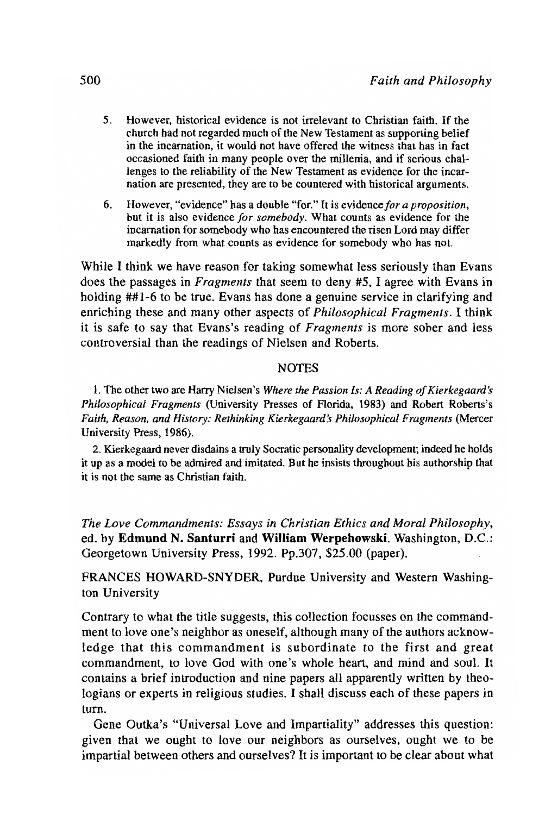- 5. However. historical evidence is not irrelevant to Christian faith. If the church had not regarded much of the New Testament as supporting belief in the incarnation, it would not have offered the witness that has in fact occasioned faith in many people over the millenia, and if serious challenges to the reliability of the New Testament as evidence for the incarnation are presented, they are to be countered with historical arguments.
- 6. However, "evidence" has a double "for." It is evidence *for a proposition,*  but it is also evidence *for somebody.* What counts as evidence for the incarnation for somebody who has encountered the risen Lord may differ markedly from what counts as evidence for somebody who has not.

While I think we have reason for taking somewhat less seriously than Evans does the passages in *Fragments* that seem to deny #5, I agree with Evans in holding ##1-6 to be true. Evans has done a genuine service in clarifying and enriching these and many other aspects of *Philosophical Fragments.* I think it is safe to say that Evans's reading of *Fragments* is more sober and less controversial than the readings of Nielsen and Roberts.

## **NOTES**

1. The other two are Harry Nielsen's *Where the Passion Is: A Reading of Kierkegaard's Philosophical Fragments* (University Presses of Florida, 1983) and Robert Roberts's *Faith, Reason, and History: Rethinking Kierkegaard's Philosophical Fragments* (Mercer University Press, 1986).

2. Kierkegaard never disdains a truly Socratic personality development; indeed he holds it up as a model to be admired and imitated. But he insists throughout his authorship that it is not the same as Christian faith.

*The Love Commandments: Essays in Christian Ethics and Moral Philosophy,*  ed. by **Edmund N. Santurri** and **William Werpehowski.** Washington, D.C.: Georgetown University Press, 1992. Pp.307, \$25.00 (paper).

FRANCES HOWARD-SNYDER, Purdue University and Western Washington University

Contrary to what the title suggests, this collection focusses on the commandment to love one's neighbor as oneself, although many of the authors acknowledge that this commandment is subordinate to the first and great commandment, to love God with one's whole heart, and mind and soul. It contains a brief introduction and nine papers all apparently written by theologians or experts in religious studies. I shall discuss each of these papers in turn.

Gene Dutka's "Universal Love and Impartiality" addresses this question: given that we ought to love our neighbors as ourselves, ought we to be impartial between others and ourselves? It is important to be clear about what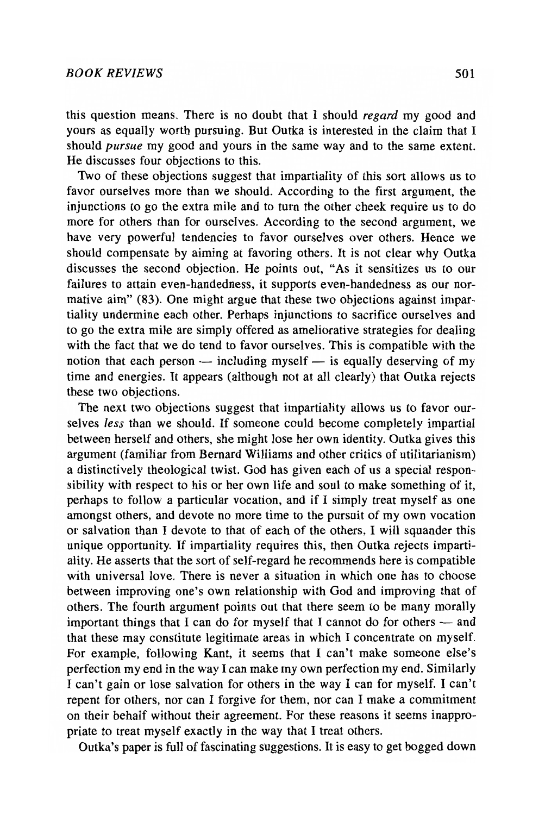this question means. There is no doubt that I should *regard* my good and yours as equally worth pursuing. But Outka is interested in the claim that I should *pursue* my good and yours in the same way and to the same extent. He discusses four objections to this.

Two of these objections suggest that impartiality of this sort allows us to favor ourselves more than we should. According to the first argument, the injunctions to go the extra mile and to turn the other cheek require us to do more for others than for ourselves. According to the second argument, we have very powerful tendencies to favor ourselves over others. Hence we should compensate by aiming at favoring others. It is not clear why Outka discusses the second objection. He points out, "As it sensitizes us to our failures to attain even-handedness, it supports even-handedness as our normative aim" (83). One might argue that these two objections against impartiality undermine each other. Perhaps injunctions to sacrifice ourselves and to go the extra mile are simply offered as ameliorative strategies for dealing with the fact that we do tend to favor ourselves. This is compatible with the notion that each person  $-$  including myself  $-$  is equally deserving of my time and energies. It appears (although not at all clearly) that Outka rejects these two objections.

The next two objections suggest that impartiality allows us to favor ourselves *less* than we should. If someone could become completely impartial between herself and others, she might lose her own identity. Outka gives this argument (familiar from Bernard Williams and other critics of utilitarianism) a distinctively theological twist. God has given each of us a special responsibility with respect to his or her own life and soul to make something of it, perhaps to follow a particular vocation, and if I simply treat myself as one amongst others, and devote no more time to the pursuit of my own vocation or salvation than I devote to that of each of the others, I will squander this unique opportunity. If impartiality requires this, then Outka rejects impartiality. He asserts that the sort of self-regard he recommends here is compatible with universal love. There is never a situation in which one has to choose between improving one's own relationship with God and improving that of others. The fourth argument points out that there seem to be many morally important things that I can do for myself that I cannot do for others  $-$  and that these may constitute legitimate areas in which I concentrate on myself. For example, following Kant, it seems that I can't make someone else's perfection my end in the way I can make my own perfection my end. Similarly I can't gain or lose salvation for others in the way I can for myself. I can't repent for others, nor can I forgive for them, nor can I make a commitment on their behalf without their agreement. For these reasons it seems inappropriate to treat myself exactly in the way that I treat others.

Outka's paper is full of fascinating suggestions. It is easy to get bogged down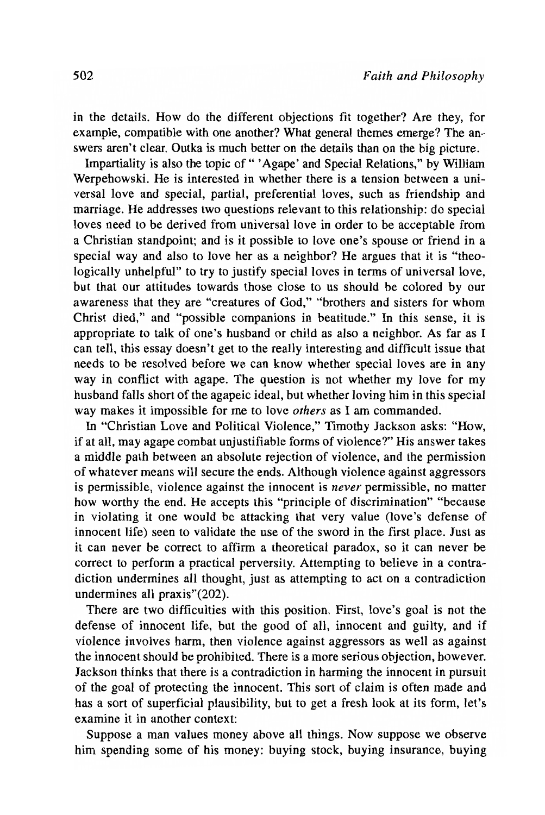in the details. How do the different objections fit together? Are they, for example, compatible with one another? What general themes emerge? The answers aren't clear. Outka is much better on the details than on the big picture.

Impartiality is also the topic of" 'Agape' and Special Relations," by William Werpehowski. He is interested in whether there is a tension between a universal love and special, partial, preferential loves, such as friendship and marriage. He addresses two questions relevant to this relationship: do special loves need to be derived from universal love in order to be acceptable from a Christian standpoint; and is it possible to love one's spouse or friend in a special way and also to love her as a neighbor? He argues that it is "theologically unhelpful" to try to justify special loves in terms of universal love, but that our attitudes towards those close to us should be colored by our awareness that they are "creatures of God," "brothers and sisters for whom Christ died," and "possible companions in beatitude." In this sense, it is appropriate to talk of one's husband or child as also a neighbor. As far as I can tell, this essay doesn't get to the really interesting and difficult issue that needs to be resolved before we can know whether special loves are in any way in conflict with agape. The question is not whether my love for my husband falls short of the agapeic ideal, but whether loving him in this special way makes it impossible for me to love *others* as I am commanded.

In "Christian Love and Political Violence," Timothy Jackson asks: "How, if at all, may agape combat unjustifiable forms of violence?" His answer takes a middle path between an absolute rejection of violence, and the permission of whatever means will secure the ends. Although violence against aggressors is permissible, violence against the innocent is *never* permissible, no matter how worthy the end. He accepts this "principle of discrimination" "because in violating it one would be attacking that very value (love's defense of innocent life) seen to validate the use of the sword in the first place. Just as it can never be correct to affirm a theoretical paradox, so it can never be correct to perform a practical perversity. Attempting to believe in a contradiction undermines all thought, just as attempting to act on a contradiction undermines all praxis"(202).

There are two difficulties with this position. First, love's goal is not the defense of innocent life, but the good of all, innocent and guilty, and if violence involves harm, then violence against aggressors as well as against the innocent should be prohibited. There is a more serious objection, however. Jackson thinks that there is a contradiction in harming the innocent in pursuit of the goal of protecting the innocent. This sort of claim is often made and has a sort of superficial plausibility, but to get a fresh look at its form, let's examine it in another context:

Suppose a man values money above all things. Now suppose we observe him spending some of his money: buying stock, buying insurance, buying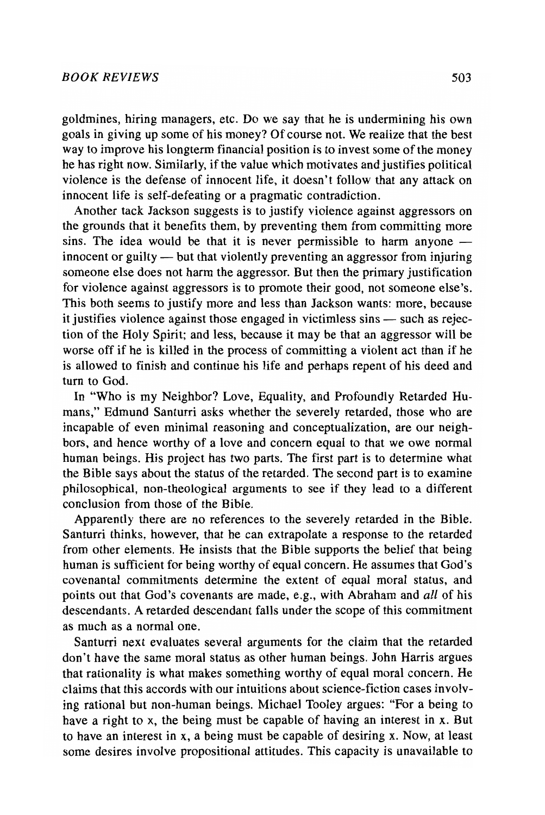goldmines, hiring managers, etc. Do we say that he is undermining his own goals in giving up some of his money? Of course not. We realize that the best way to improve his longterm financial position is to invest some of the money he has right now. Similarly, if the value which motivates and justifies political violence is the defense of innocent life, it doesn't follow that any attack on innocent life is self-defeating or a pragmatic contradiction.

Another tack Jackson suggests is to justify violence against aggressors on the grounds that it benefits them, by preventing them from committing more sins. The idea would be that it is never permissible to harm anyone  $$ innocent or guilty  $-$  but that violently preventing an aggressor from injuring someone else does not harm the aggressor. But then the primary justification for violence against aggressors is to promote their good, not someone else's. This both seems to justify more and less than Jackson wants: more, because it justifies violence against those engaged in victimless sins  $-$  such as rejection of the Holy Spirit; and less, because it may be that an aggressor will be worse off if he is killed in the process of committing a violent act than if he is allowed to finish and continue his life and perhaps repent of his deed and turn to God.

In "Who is my Neighbor? Love, Equality, and Profoundly Retarded Humans," Edmund Santurri asks whether the severely retarded, those who are incapable of even minimal reasoning and conceptualization, are our neighbors, and hence worthy of a love and concern equal to that we owe normal human beings. His project has two parts. The first part is to determine what the Bible says about the status of the retarded. The second part is to examine philosophical, non-theological arguments to see if they lead to a different conclusion from those of the Bible.

Apparently there are no references to the severely retarded in the Bible. Santurri thinks, however, that he can extrapolate a response to the retarded from other elements. He insists that the Bible supports the belief that being human is sufficient for being worthy of equal concern. He assumes that God's covenantal commitments determine the extent of equal moral status, and points out that God's covenants are made, e.g., with Abraham and *all* of his descendants. A retarded descendant falls under the scope of this commitment as much as a normal one.

Santurri next evaluates several arguments for the claim that the retarded don't have the same moral status as other human beings. John Harris argues that rationality is what makes something worthy of equal moral concern. He claims that this accords with our intuitions about science-fiction cases involving rational but non-human beings. Michael Tooley argues: "For a being to have a right to x, the being must be capable of having an interest in x. But to have an interest in x, a being must be capable of desiring x. Now, at least some desires involve propositional attitudes. This capacity is unavailable to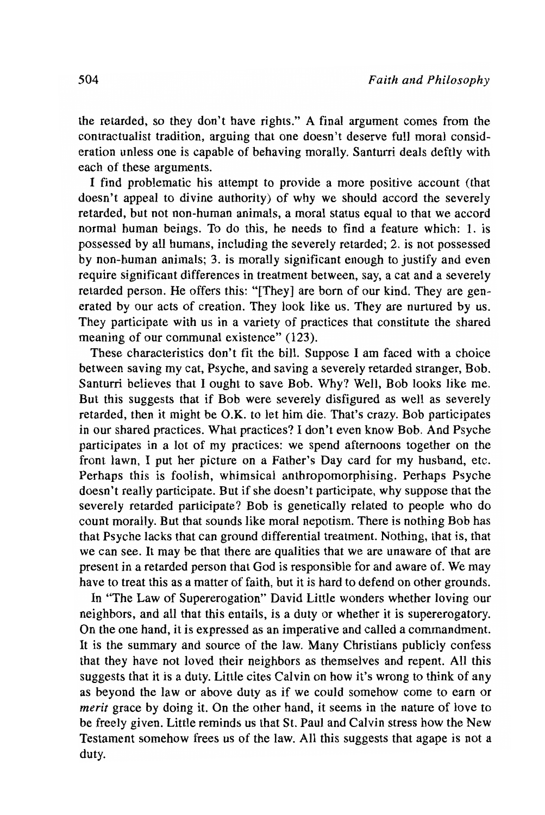the retarded, so they don't have rights." A final argument comes from the contractualist tradition, arguing that one doesn't deserve full moral consideration unless one is capable of behaving morally. Santurri deals deftly with each of these arguments.

I find problematic his attempt to provide a more positive account (that doesn't appeal to divine authority) of why we should accord the severely retarded, but not non-human animals, a moral status equal to that we accord normal human beings. To do this, he needs to find a feature which: 1. is possessed by all humans, including the severely retarded; 2. is not possessed by non-human animals; 3. is morally significant enough to justify and even require significant differences in treatment between, say, a cat and a severely retarded person. He offers this: "[They] are born of our kind. They are generated by our acts of creation. They look like us. They are nurtured by us. They participate with us in a variety of practices that constitute the shared meaning of our communal existence" (123).

These characteristics don't fit the bill. Suppose I am faced with a choice between saving my cat, Psyche, and saving a severely retarded stranger, Bob. Santurri believes that I ought to save Bob. Why? Well, Bob looks like me. But this suggests that if Bob were severely disfigured as well as severely retarded, then it might be O.K. to let him die. That's crazy. Bob participates in our shared practices. What practices? I don't even know Bob. And Psyche participates in a lot of my practices: we spend afternoons together on the front lawn, I put her picture on a Father's Day card for my husband, etc. Perhaps this is foolish, whimsical anthropomorphising. Perhaps Psyche doesn't really participate. But if she doesn't participate, why suppose that the severely retarded participate? Bob is genetically related to people who do count morally. But that sounds like moral nepotism. There is nothing Bob has that Psyche lacks that can ground differential treatment. Nothing, that is, that we can see. It may be that there are qualities that we are unaware of that are present in a retarded person that God is responsible for and aware of. We may have to treat this as a matter of faith, but it is hard to defend on other grounds.

In "The Law of Supererogation" David Little wonders whether loving our neighbors, and all that this entails, is a duty or whether it is supererogatory. On the one hand, it is expressed as an imperative and called a commandment. It is the summary and source of the law. Many Christians publicly confess that they have not loved their neighbors as themselves and repent. All this suggests that it is a duty. Little cites Calvin on how it's wrong to think of any as beyond the law or above duty as if we could somehow come to earn or *merit* grace by doing it. On the other hand, it seems in the nature of love to be freely given. Little reminds us that St. Paul and Calvin stress how the New Testament somehow frees us of the law. All this suggests that agape is not a duty.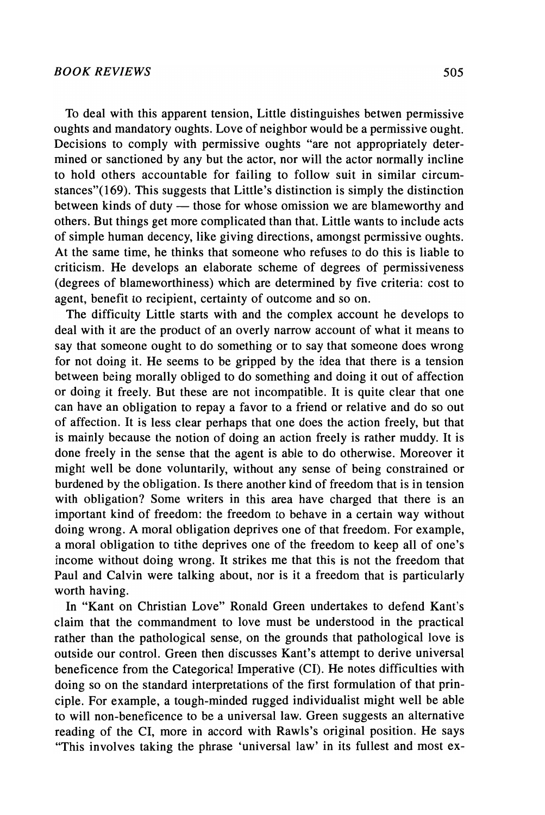To deal with this apparent tension, Little distinguishes betwen permissive oughts and mandatory oughts. Love of neighbor would be a permissive ought. Decisions to comply with permissive oughts "are not appropriately determined or sanctioned by any but the actor, nor will the actor normally incline to hold others accountable for failing to follow suit in similar circumstances"(l69). This suggests that Little's distinction is simply the distinction between kinds of duty — those for whose omission we are blameworthy and others. But things get more complicated than that. Little wants to include acts of simple human decency, like giving directions, amongst permissive oughts. At the same time, he thinks that someone who refuses to do this is liable to criticism. He develops an elaborate scheme of degrees of permissiveness (degrees of blameworthiness) which are determined by five criteria: cost to agent, benefit to recipient, certainty of outcome and so on.

The difficulty Little starts with and the complex account he develops to deal with it are the product of an overly narrow account of what it means to say that someone ought to do something or to say that someone does wrong for not doing it. He seems to be gripped by the idea that there is a tension between being morally obliged to do something and doing it out of affection or doing it freely. But these are not incompatible. It is quite clear that one can have an obligation to repay a favor to a friend or relative and do so out of affection. It is less clear perhaps that one does the action freely, but that is mainly because the notion of doing an action freely is rather muddy. It is done freely in the sense that the agent is able to do otherwise. Moreover it might well be done voluntarily, without any sense of being constrained or burdened by the obligation. Is there another kind of freedom that is in tension with obligation? Some writers in this area have charged that there is an important kind of freedom: the freedom to behave in a certain way without doing wrong. A moral obligation deprives one of that freedom. For example, a moral obligation to tithe deprives one of the freedom to keep all of one's income without doing wrong. It strikes me that this is not the freedom that Paul and Calvin were talking about, nor is it a freedom that is particularly worth having.

In "Kant on Christian Love" Ronald Green undertakes to defend Kant's claim that the commandment to love must be understood in the practical rather than the pathological sense, on the grounds that pathological love is outside our control. Green then discusses Kant's attempt to derive universal beneficence from the Categorical Imperative (CI). He notes difficulties with doing so on the standard interpretations of the first formulation of that principle. For example, a tough-minded rugged individualist might well be able to will non-beneficence to be a universal law. Green suggests an alternative reading of the CI, more in accord with Rawls's original position. He says "This involves taking the phrase 'universal law' in its fullest and most ex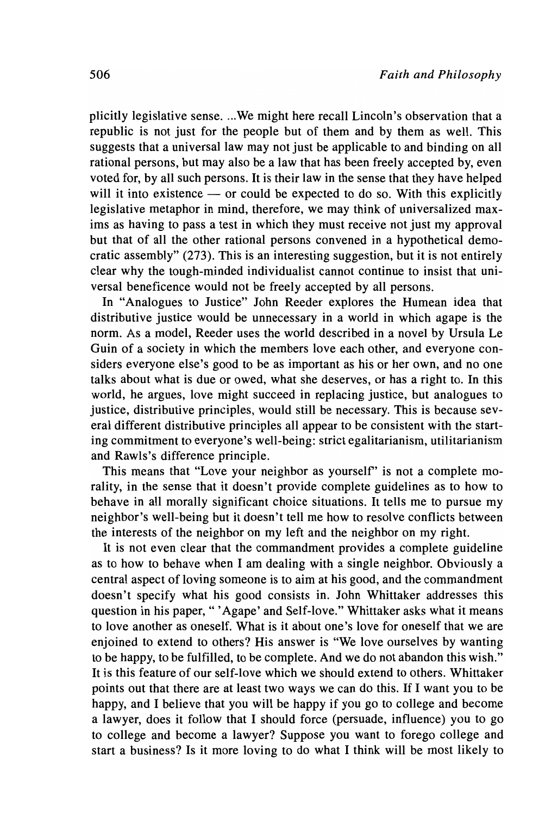plicitly legislative sense. ... We might here recall Lincoln's observation that a republic is not just for the people but of them and by them as well. This suggests that a universal law may not just be applicable to and binding on all rational persons, but may also be a law that has been freely accepted by, even voted for, by all such persons. It is their law in the sense that they have helped will it into existence  $\sim$  or could be expected to do so. With this explicitly legislative metaphor in mind, therefore, we may think of universalized maxims as having to pass a test in which they must receive not just my approval but that of all the other rational persons convened in a hypothetical democratic assembly" (273). This is an interesting suggestion, but it is not entirely clear why the tough-minded individualist cannot continue to insist that universal beneficence would not be freely accepted by all persons.

In "Analogues to Justice" John Reeder explores the Humean idea that distributive justice would be unnecessary in a world in which agape is the norm. As a model, Reeder uses the world described in a novel by Ursula Le Guin of a society in which the members love each other, and everyone considers everyone else's good to be as important as his or her own, and no one talks about what is due or owed, what she deserves, or has a right to. In this world, he argues, love might succeed in replacing justice, but analogues to justice, distributive principles, would still be necessary. This is because several different distributive principles all appear to be consistent with the starting commitment to everyone's well-being: strict egalitarianism, utilitarianism and Rawls's difference principle.

This means that "Love your neighbor as yourself' is not a complete morality, in the sense that it doesn't provide complete guidelines as to how to behave in all morally significant choice situations. It tells me to pursue my neighbor's well-being but it doesn't tell me how to resolve conflicts between the interests of the neighbor on my left and the neighbor on my right.

It is not even clear that the commandment provides a complete guideline as to how to behave when I am dealing with a single neighbor. Obviously a central aspect of loving someone is to aim at his good, and the commandment doesn't specify what his good consists in. John Whittaker addresses this question in his paper, " 'Agape' and Self-love." Whittaker asks what it means to love another as oneself. What is it about one's love for oneself that we are enjoined to extend to others? His answer is "We love ourselves by wanting to be happy, to be fulfilled, to be complete. And we do not abandon this wish." It is this feature of our self-love which we should extend to others. Whittaker points out that there are at least two ways we can do this. If I want you to be happy, and I believe that you will be happy if you go to college and become a lawyer, does it follow that I should force (persuade, influence) you to go to college and become a lawyer? Suppose you want to forego college and start a business? Is it more loving to do what I think will be most likely to